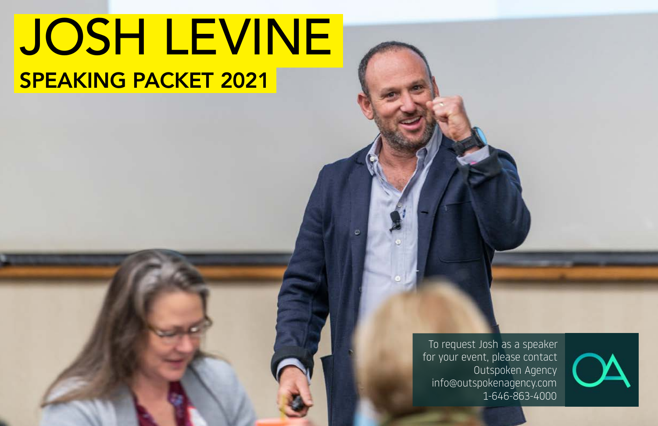# JOSH LEVINE SPEAKING PACKET 2021

To request Josh as a speaker for your event, please contact Outspoken Agency info@outspokenagency.com 1-646-863-4000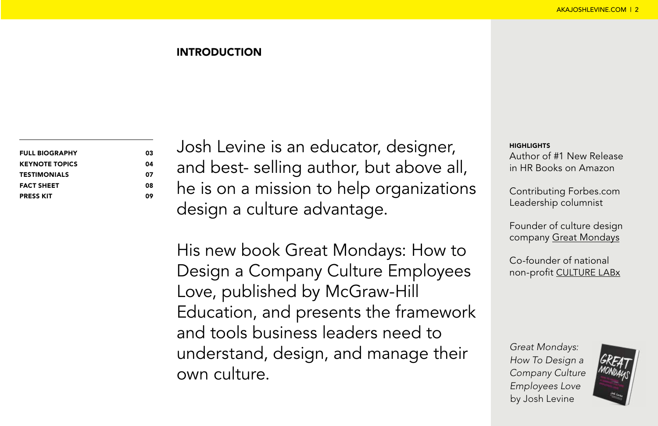#### INTRODUCTION

| <b>FULL BIOGRAPHY</b> |  |
|-----------------------|--|
| <b>KEYNOTE TOPICS</b> |  |
| <b>TESTIMONIALS</b>   |  |
| <b>FACT SHEET</b>     |  |
| <b>PRESS KIT</b>      |  |

Josh Levine is an educator, designer, and best- selling author, but above all, he is on a mission to help organizations design a culture advantage.

His new book Great Mondays: How to Design a Company Culture Employees Love, published by McGraw-Hill Education, and presents the framework and tools business leaders need to understand, design, and manage their own culture.

#### HIGHLIGHTS

Author of #1 New Release in HR Books on Amazon

Contributing Forbes.com Leadership columnist

Founder of culture design company [Great Mondays](https://www.greatmondays.com/agency)

Co-founder of national non-profit [CULTURE LABx](https://culturelabx.com/)

*Great Mondays: How To Design a Company Culture Employees Love*  by Josh Levine

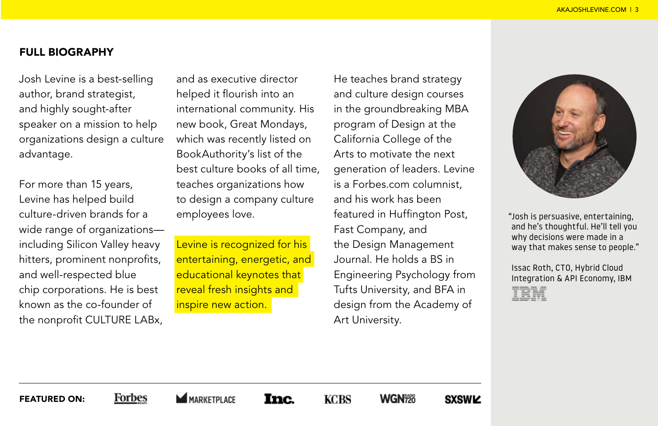### FULL BIOGRAPHY

Josh Levine is a best-selling author, brand strategist, and highly sought-after speaker on a mission to help organizations design a culture advantage.

For more than 15 years, Levine has helped build culture-driven brands for a wide range of organizations including Silicon Valley heavy hitters, prominent nonprofits, and well-respected blue chip corporations. He is best known as the co-founder of the nonprofit CULTURE LABx,

and as executive director helped it flourish into an international community. His new book, Great Mondays, which was recently listed on BookAuthority's list of the best culture books of all time, teaches organizations how to design a company culture employees love.

Levine is recognized for his entertaining, energetic, and educational keynotes that reveal fresh insights and inspire new action.

He teaches brand strategy and culture design courses in the groundbreaking MBA program of Design at the California College of the Arts to motivate the next generation of leaders. Levine is a Forbes.com columnist, and his work has been featured in Huffington Post, Fast Company, and the Design Management Journal. He holds a BS in Engineering Psychology from Tufts University, and BFA in design from the Academy of Art University.



"Josh is persuasive, entertaining, and he's thoughtful. He'll tell you why decisions were made in a way that makes sense to people."

Issac Roth, CTO, Hybrid Cloud Integration & API Economy, IBM

FEATURED ON:

**Forbes MARKETPLACE** 

**Inc.** 

**KCBS** 

WGN<sub>720</sub>

**SXSWIZ**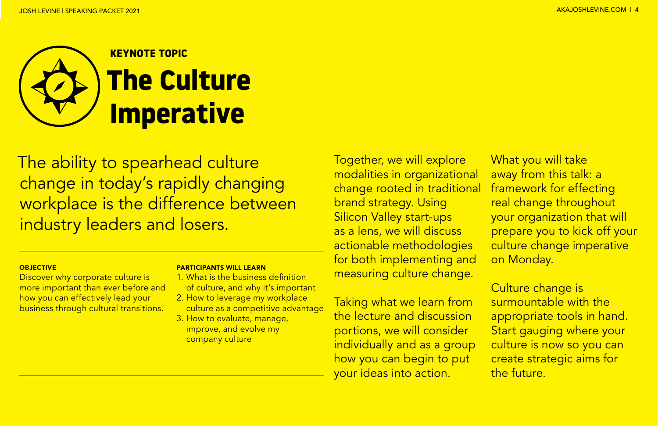

The ability to spearhead culture change in today's rapidly changing workplace is the difference between industry leaders and losers.

#### **OBJECTIVE**

Discover why corporate culture is more important than ever before and how you can effectively lead your business through cultural transitions.

#### PARTICIPANTS WILL LEARN

- 1. What is the business definition of culture, and why it's important
- 2. How to leverage my workplace culture as a competitive advantage
- 3. How to evaluate, manage, improve, and evolve my company culture

Together, we will explore modalities in organizational change rooted in traditional brand strategy. Using Silicon Valley start-ups as a lens, we will discuss actionable methodologies for both implementing and measuring culture change.

Taking what we learn from the lecture and discussion portions, we will consider individually and as a group how you can begin to put your ideas into action.

What you will take away from this talk: a framework for effecting real change throughout your organization that will prepare you to kick off your culture change imperative on Monday.

Culture change is surmountable with the appropriate tools in hand. Start gauging where your culture is now so you can create strategic aims for the future.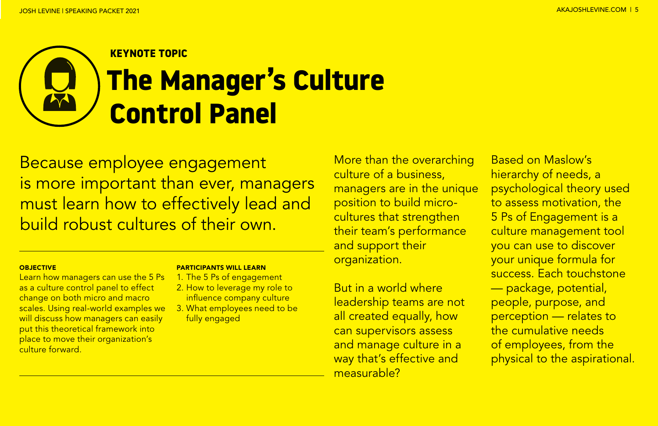# **KEYNOTE TOPIC The Manager's Culture Control Panel**

Because employee engagement is more important than ever, managers must learn how to effectively lead and build robust cultures of their own.

#### **OBJECTIVE**

Learn how managers can use the 5 Ps as a culture control panel to effect change on both micro and macro scales. Using real-world examples we will discuss how managers can easily put this theoretical framework into place to move their organization's culture forward.

#### PARTICIPANTS WILL LEARN

- 1. The 5 Ps of engagement
- 2. How to leverage my role to influence company culture
- 3. What employees need to be fully engaged

More than the overarching culture of a business, managers are in the unique position to build microcultures that strengthen their team's performance and support their organization.

But in a world where leadership teams are not all created equally, how can supervisors assess and manage culture in a way that's effective and measurable?

Based on Maslow's hierarchy of needs, a psychological theory used to assess motivation, the 5 Ps of Engagement is a culture management tool you can use to discover your unique formula for success. Each touchstone — package, potential, people, purpose, and perception — relates to the cumulative needs of employees, from the physical to the aspirational.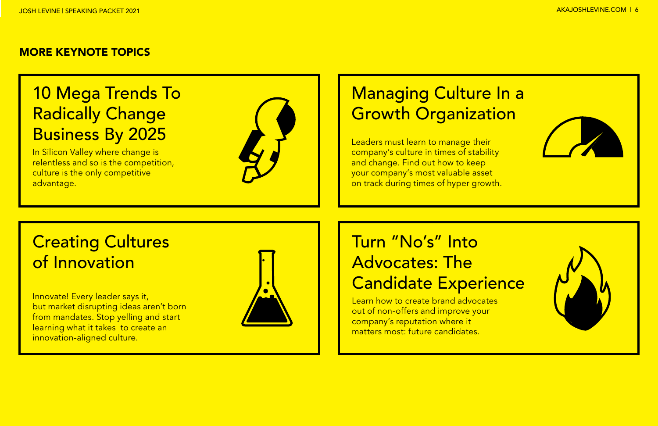#### MORE KEYNOTE TOPICS

# 10 Mega Trends To Radically Change Business By 2025

In Silicon Valley where change is relentless and so is the competition, culture is the only competitive advantage.



# **Managing Culture In a** Growth Organization

Leaders must learn to manage their company's culture in times of stability and change. Find out how to keep your company's most valuable asset on track during times of hyper growth.

# Creating Cultures of Innovation

Innovate! Every leader says it, but market disrupting ideas aren't born from mandates. Stop yelling and start learning what it takes to create an innovation-aligned culture.



# Turn "No's" Into Advocates: The Candidate Experience

Learn how to create brand advocates out of non-offers and improve your company's reputation where it matters most: future candidates.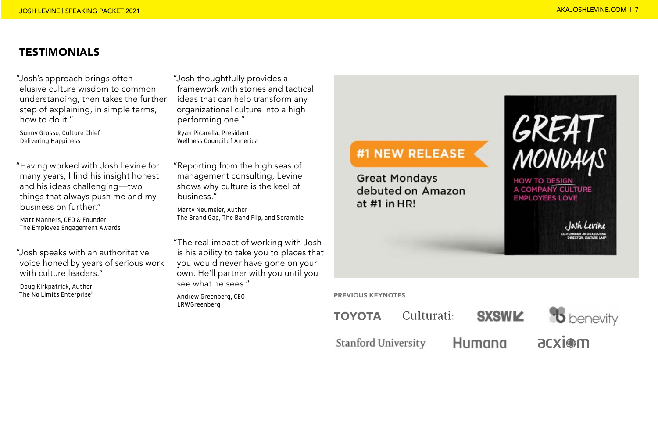### **TESTIMONIALS**

"Josh's approach brings often elusive culture wisdom to common understanding, then takes the further step of explaining, in simple terms, how to do it."

Sunny Grosso, Culture Chief Delivering Happiness

"Having worked with Josh Levine for many years, I find his insight honest and his ideas challenging—two things that always push me and my business on further."

Matt Manners, CEO & Founder The Employee Engagement Awards

"Josh speaks with an authoritative voice honed by years of serious work with culture leaders."

Doug Kirkpatrick, Author 'The No Limits Enterprise' "Josh thoughtfully provides a framework with stories and tactical ideas that can help transform any organizational culture into a high performing one."

Ryan Picarella, President Wellness Council of America

"Reporting from the high seas of management consulting, Levine shows why culture is the keel of business."

Marty Neumeier, Author The Brand Gap, The Band Flip, and Scramble

"The real impact of working with Josh is his ability to take you to places that you would never have gone on your own. He'll partner with you until you see what he sees."

Andrew Greenberg, CEO LRWGreenberg

## #1 NEW RELEASE

**Great Mondays** debuted on Amazon at  $#1$  in HR!

GREA<br>MONDA **HOW TO DESIGN** 

A COMPANY CULTURE **EMPLOYEES LOVE** 

lath Levine

PREVIOUS KEYNOTES

Culturati: **TOYOTA** 

**Stanford University** 

**SXSWIZ** 

Humana



acxiom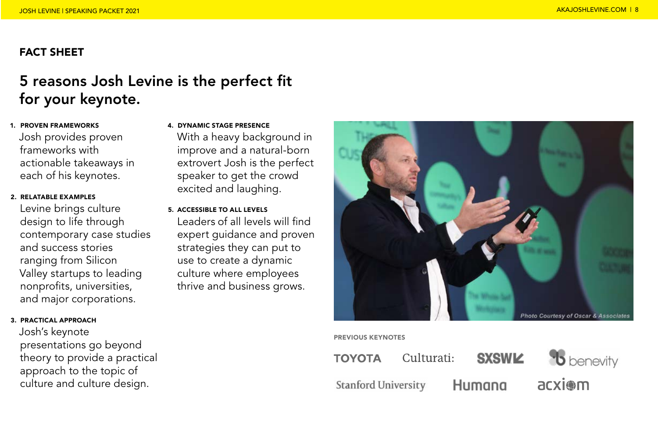## FACT SHEET

# 5 reasons Josh Levine is the perfect fit for your keynote.

# 1. PROVEN FRAMEWORKS

Josh provides proven frameworks with actionable takeaways in each of his keynotes.

#### 2. RELATABLE EXAMPLES

Levine brings culture design to life through contemporary case studies and success stories ranging from Silicon Valley startups to leading nonprofits, universities, and major corporations.

#### 3. PRACTICAL APPROACH

Josh's keynote presentations go beyond theory to provide a practical approach to the topic of culture and culture design.

#### 4. DYNAMIC STAGE PRESENCE

With a heavy background in improve and a natural-born extrovert Josh is the perfect speaker to get the crowd excited and laughing.

5. ACCESSIBLE TO ALL LEVELS

Leaders of all levels will find expert guidance and proven strategies they can put to use to create a dynamic culture where employees thrive and business grows.



#### PREVIOUS KEYNOTES